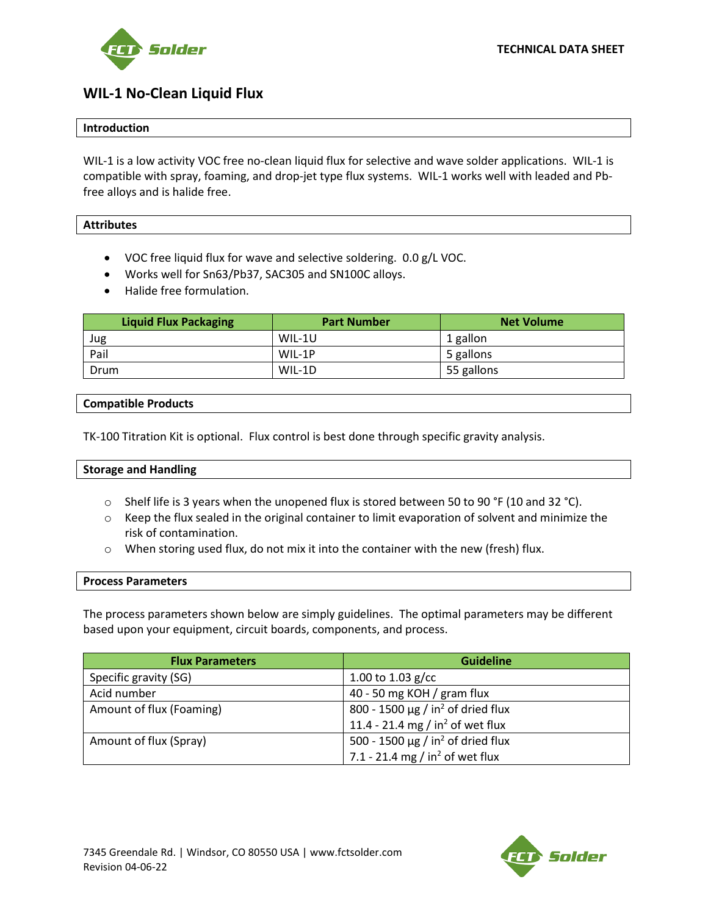



# **WIL-1 No-Clean Liquid Flux**

# **Introduction**

WIL-1 is a low activity VOC free no-clean liquid flux for selective and wave solder applications. WIL-1 is compatible with spray, foaming, and drop-jet type flux systems. WIL-1 works well with leaded and Pbfree alloys and is halide free.

# **Attributes**

- VOC free liquid flux for wave and selective soldering. 0.0 g/L VOC.
- Works well for Sn63/Pb37, SAC305 and SN100C alloys.
- Halide free formulation.

| <b>Liquid Flux Packaging</b> | <b>Part Number</b> | <b>Net Volume</b> |
|------------------------------|--------------------|-------------------|
| Jug                          | WIL-1U             | 1 gallon          |
| Pail                         | WIL-1P             | 5 gallons         |
| Drum                         | WIL-1D             | 55 gallons        |

# **Compatible Products**

TK-100 Titration Kit is optional. Flux control is best done through specific gravity analysis.

#### **Storage and Handling**

- $\circ$  Shelf life is 3 years when the unopened flux is stored between 50 to 90 °F (10 and 32 °C).
- $\circ$  Keep the flux sealed in the original container to limit evaporation of solvent and minimize the risk of contamination.
- $\circ$  When storing used flux, do not mix it into the container with the new (fresh) flux.

#### **Process Parameters**

The process parameters shown below are simply guidelines. The optimal parameters may be different based upon your equipment, circuit boards, components, and process.

| <b>Flux Parameters</b>   | <b>Guideline</b>                                   |  |
|--------------------------|----------------------------------------------------|--|
| Specific gravity (SG)    | 1.00 to 1.03 $g/cc$                                |  |
| Acid number              | 40 - 50 mg KOH / gram flux                         |  |
| Amount of flux (Foaming) | 800 - 1500 $\mu$ g / in <sup>2</sup> of dried flux |  |
|                          | 11.4 - 21.4 mg / in <sup>2</sup> of wet flux       |  |
| Amount of flux (Spray)   | 500 - 1500 $\mu$ g / in <sup>2</sup> of dried flux |  |
|                          | 7.1 - 21.4 mg / in <sup>2</sup> of wet flux        |  |

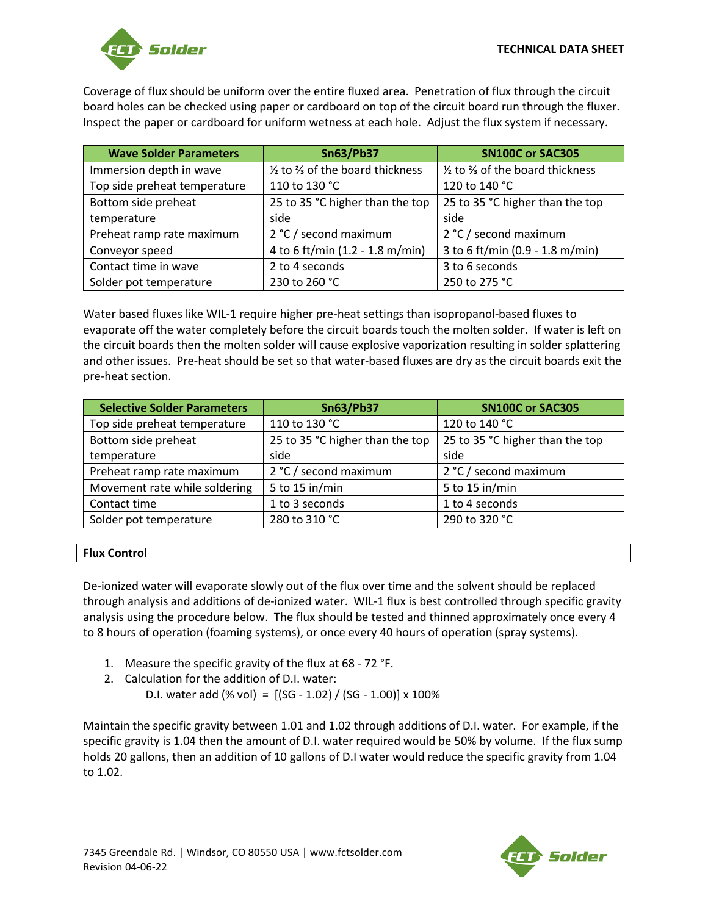

Coverage of flux should be uniform over the entire fluxed area. Penetration of flux through the circuit board holes can be checked using paper or cardboard on top of the circuit board run through the fluxer. Inspect the paper or cardboard for uniform wetness at each hole. Adjust the flux system if necessary.

| <b>Wave Solder Parameters</b> | <b>Sn63/Pb37</b>                  | <b>SN100C or SAC305</b>           |
|-------------------------------|-----------------------------------|-----------------------------------|
| Immersion depth in wave       | 1/2 to 3/3 of the board thickness | 1/2 to 3/3 of the board thickness |
| Top side preheat temperature  | 110 to 130 °C                     | 120 to 140 °C                     |
| Bottom side preheat           | 25 to 35 °C higher than the top   | 25 to 35 °C higher than the top   |
| temperature                   | side                              | side                              |
| Preheat ramp rate maximum     | 2 °C / second maximum             | 2 °C / second maximum             |
| Conveyor speed                | 4 to 6 ft/min (1.2 - 1.8 m/min)   | 3 to 6 ft/min (0.9 - 1.8 m/min)   |
| Contact time in wave          | 2 to 4 seconds                    | 3 to 6 seconds                    |
| Solder pot temperature        | 230 to 260 °C                     | 250 to 275 °C                     |

Water based fluxes like WIL-1 require higher pre-heat settings than isopropanol-based fluxes to evaporate off the water completely before the circuit boards touch the molten solder. If water is left on the circuit boards then the molten solder will cause explosive vaporization resulting in solder splattering and other issues. Pre-heat should be set so that water-based fluxes are dry as the circuit boards exit the pre-heat section.

| <b>Selective Solder Parameters</b> | <b>Sn63/Pb37</b>                | <b>SN100C or SAC305</b>         |
|------------------------------------|---------------------------------|---------------------------------|
| Top side preheat temperature       | 110 to 130 °C                   | 120 to 140 °C                   |
| Bottom side preheat                | 25 to 35 °C higher than the top | 25 to 35 °C higher than the top |
| temperature                        | side                            | side                            |
| Preheat ramp rate maximum          | 2 °C / second maximum           | 2 °C / second maximum           |
| Movement rate while soldering      | 5 to 15 in/min                  | 5 to 15 in/min                  |
| Contact time                       | 1 to 3 seconds                  | 1 to 4 seconds                  |
| Solder pot temperature             | 280 to 310 °C                   | 290 to 320 °C                   |

# **Flux Control**

De-ionized water will evaporate slowly out of the flux over time and the solvent should be replaced through analysis and additions of de-ionized water. WIL-1 flux is best controlled through specific gravity analysis using the procedure below. The flux should be tested and thinned approximately once every 4 to 8 hours of operation (foaming systems), or once every 40 hours of operation (spray systems).

- 1. Measure the specific gravity of the flux at 68 72 °F.
- 2. Calculation for the addition of D.I. water: D.I. water add (% vol) =  $[(SG - 1.02) / (SG - 1.00)] \times 100\%$

Maintain the specific gravity between 1.01 and 1.02 through additions of D.I. water. For example, if the specific gravity is 1.04 then the amount of D.I. water required would be 50% by volume. If the flux sump holds 20 gallons, then an addition of 10 gallons of D.I water would reduce the specific gravity from 1.04 to 1.02.

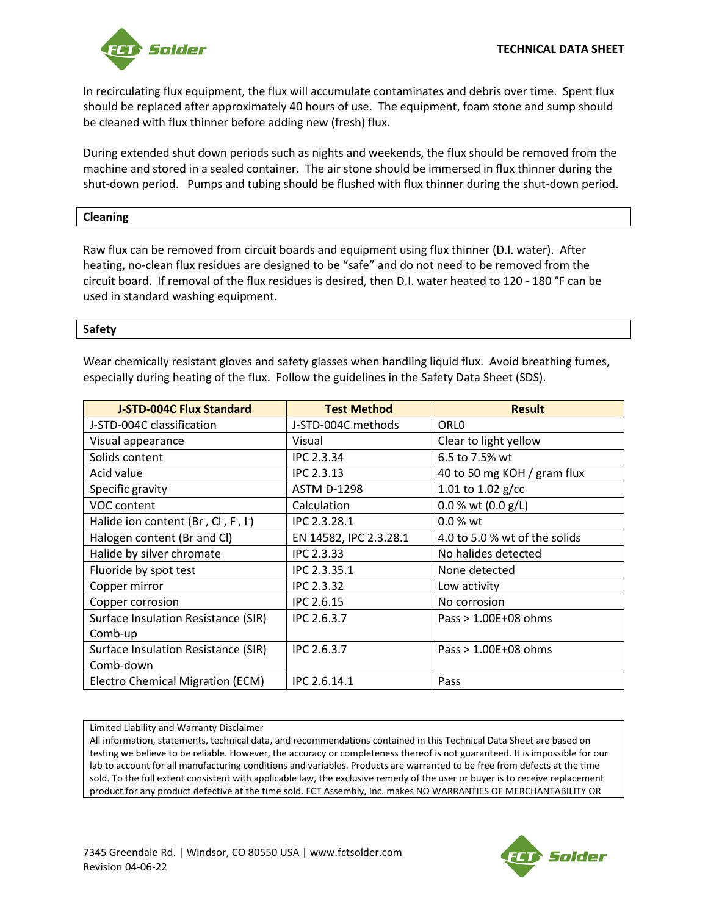

In recirculating flux equipment, the flux will accumulate contaminates and debris over time. Spent flux should be replaced after approximately 40 hours of use. The equipment, foam stone and sump should be cleaned with flux thinner before adding new (fresh) flux.

During extended shut down periods such as nights and weekends, the flux should be removed from the machine and stored in a sealed container. The air stone should be immersed in flux thinner during the shut-down period. Pumps and tubing should be flushed with flux thinner during the shut-down period.

# **Cleaning**

Raw flux can be removed from circuit boards and equipment using flux thinner (D.I. water). After heating, no-clean flux residues are designed to be "safe" and do not need to be removed from the circuit board. If removal of the flux residues is desired, then D.I. water heated to 120 - 180 °F can be used in standard washing equipment.

# **Safety**

Wear chemically resistant gloves and safety glasses when handling liquid flux. Avoid breathing fumes, especially during heating of the flux. Follow the guidelines in the Safety Data Sheet (SDS).

| <b>J-STD-004C Flux Standard</b>     | <b>Test Method</b>     | <b>Result</b>                 |
|-------------------------------------|------------------------|-------------------------------|
| J-STD-004C classification           | J-STD-004C methods     | ORL <sub>0</sub>              |
| Visual appearance                   | Visual                 | Clear to light yellow         |
| Solids content                      | <b>IPC 2.3.34</b>      | 6.5 to 7.5% wt                |
| Acid value                          | <b>IPC 2.3.13</b>      | 40 to 50 mg KOH / gram flux   |
| Specific gravity                    | <b>ASTM D-1298</b>     | 1.01 to 1.02 $g/cc$           |
| VOC content                         | Calculation            | 0.0 % wt (0.0 g/L)            |
| Halide ion content (Br, Cl, F, I)   | IPC 2.3.28.1           | $0.0 %$ wt                    |
| Halogen content (Br and Cl)         | EN 14582, IPC 2.3.28.1 | 4.0 to 5.0 % wt of the solids |
| Halide by silver chromate           | <b>IPC 2.3.33</b>      | No halides detected           |
| Fluoride by spot test               | IPC 2.3.35.1           | None detected                 |
| Copper mirror                       | <b>IPC 2.3.32</b>      | Low activity                  |
| Copper corrosion                    | <b>IPC 2.6.15</b>      | No corrosion                  |
| Surface Insulation Resistance (SIR) | IPC 2.6.3.7            | Pass $> 1.00E+08$ ohms        |
| Comb-up                             |                        |                               |
| Surface Insulation Resistance (SIR) | IPC 2.6.3.7            | Pass $> 1.00E+08$ ohms        |
| Comb-down                           |                        |                               |
| Electro Chemical Migration (ECM)    | IPC 2.6.14.1           | Pass                          |

#### Limited Liability and Warranty Disclaimer

All information, statements, technical data, and recommendations contained in this Technical Data Sheet are based on testing we believe to be reliable. However, the accuracy or completeness thereof is not guaranteed. It is impossible for our lab to account for all manufacturing conditions and variables. Products are warranted to be free from defects at the time sold. To the full extent consistent with applicable law, the exclusive remedy of the user or buyer is to receive replacement product for any product defective at the time sold. FCT Assembly, Inc. makes NO WARRANTIES OF MERCHANTABILITY OR